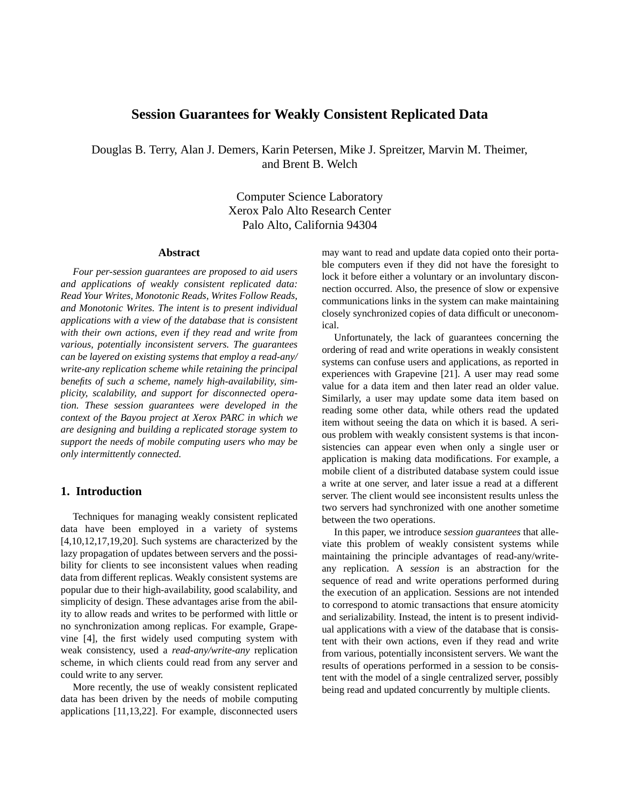# **Session Guarantees for Weakly Consistent Replicated Data**

Douglas B. Terry, Alan J. Demers, Karin Petersen, Mike J. Spreitzer, Marvin M. Theimer, and Brent B. Welch

> Computer Science Laboratory Xerox Palo Alto Research Center Palo Alto, California 94304

#### **Abstract**

*Four per-session guarantees are proposed to aid users and applications of weakly consistent replicated data: Read Your Writes, Monotonic Reads, Writes Follow Reads, and Monotonic Writes. The intent is to present individual applications with a view of the database that is consistent with their own actions, even if they read and write from various, potentially inconsistent servers. The guarantees can be layered on existing systems that employ a read-any/ write-any replication scheme while retaining the principal benefits of such a scheme, namely high-availability, simplicity, scalability, and support for disconnected operation. These session guarantees were developed in the context of the Bayou project at Xerox PARC in which we are designing and building a replicated storage system to support the needs of mobile computing users who may be only intermittently connected.*

#### **1. Introduction**

Techniques for managing weakly consistent replicated data have been employed in a variety of systems [4,10,12,17,19,20]. Such systems are characterized by the lazy propagation of updates between servers and the possibility for clients to see inconsistent values when reading data from different replicas. Weakly consistent systems are popular due to their high-availability, good scalability, and simplicity of design. These advantages arise from the ability to allow reads and writes to be performed with little or no synchronization among replicas. For example, Grapevine [4], the first widely used computing system with weak consistency, used a *read-any/write-any* replication scheme, in which clients could read from any server and could write to any server.

More recently, the use of weakly consistent replicated data has been driven by the needs of mobile computing applications [11,13,22]. For example, disconnected users

may want to read and update data copied onto their portable computers even if they did not have the foresight to lock it before either a voluntary or an involuntary disconnection occurred. Also, the presence of slow or expensive communications links in the system can make maintaining closely synchronized copies of data difficult or uneconomical.

Unfortunately, the lack of guarantees concerning the ordering of read and write operations in weakly consistent systems can confuse users and applications, as reported in experiences with Grapevine [21]. A user may read some value for a data item and then later read an older value. Similarly, a user may update some data item based on reading some other data, while others read the updated item without seeing the data on which it is based. A serious problem with weakly consistent systems is that inconsistencies can appear even when only a single user or application is making data modifications. For example, a mobile client of a distributed database system could issue a write at one server, and later issue a read at a different server. The client would see inconsistent results unless the two servers had synchronized with one another sometime between the two operations.

In this paper, we introduce *session guarantees* that alleviate this problem of weakly consistent systems while maintaining the principle advantages of read-any/writeany replication. A *session* is an abstraction for the sequence of read and write operations performed during the execution of an application. Sessions are not intended to correspond to atomic transactions that ensure atomicity and serializability. Instead, the intent is to present individual applications with a view of the database that is consistent with their own actions, even if they read and write from various, potentially inconsistent servers. We want the results of operations performed in a session to be consistent with the model of a single centralized server, possibly being read and updated concurrently by multiple clients.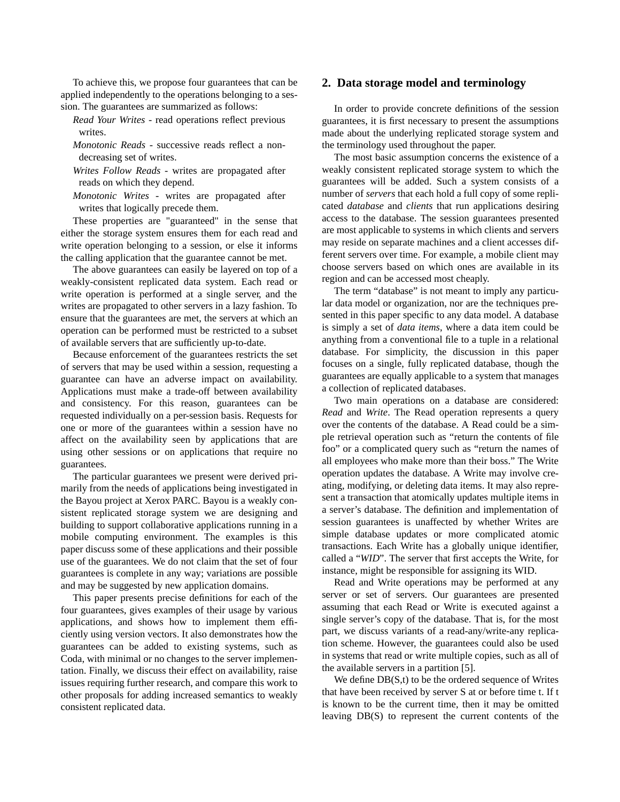To achieve this, we propose four guarantees that can be applied independently to the operations belonging to a session. The guarantees are summarized as follows:

- *Read Your Writes* read operations reflect previous writes.
- *Monotonic Reads* successive reads reflect a nondecreasing set of writes.
- *Writes Follow Reads* writes are propagated after reads on which they depend.
- *Monotonic Writes* writes are propagated after writes that logically precede them.

These properties are "guaranteed" in the sense that either the storage system ensures them for each read and write operation belonging to a session, or else it informs the calling application that the guarantee cannot be met.

The above guarantees can easily be layered on top of a weakly-consistent replicated data system. Each read or write operation is performed at a single server, and the writes are propagated to other servers in a lazy fashion. To ensure that the guarantees are met, the servers at which an operation can be performed must be restricted to a subset of available servers that are sufficiently up-to-date.

Because enforcement of the guarantees restricts the set of servers that may be used within a session, requesting a guarantee can have an adverse impact on availability. Applications must make a trade-off between availability and consistency. For this reason, guarantees can be requested individually on a per-session basis. Requests for one or more of the guarantees within a session have no affect on the availability seen by applications that are using other sessions or on applications that require no guarantees.

The particular guarantees we present were derived primarily from the needs of applications being investigated in the Bayou project at Xerox PARC. Bayou is a weakly consistent replicated storage system we are designing and building to support collaborative applications running in a mobile computing environment. The examples is this paper discuss some of these applications and their possible use of the guarantees. We do not claim that the set of four guarantees is complete in any way; variations are possible and may be suggested by new application domains.

This paper presents precise definitions for each of the four guarantees, gives examples of their usage by various applications, and shows how to implement them efficiently using version vectors. It also demonstrates how the guarantees can be added to existing systems, such as Coda, with minimal or no changes to the server implementation. Finally, we discuss their effect on availability, raise issues requiring further research, and compare this work to other proposals for adding increased semantics to weakly consistent replicated data.

### **2. Data storage model and terminology**

In order to provide concrete definitions of the session guarantees, it is first necessary to present the assumptions made about the underlying replicated storage system and the terminology used throughout the paper.

The most basic assumption concerns the existence of a weakly consistent replicated storage system to which the guarantees will be added. Such a system consists of a number of *servers* that each hold a full copy of some replicated *database* and *clients* that run applications desiring access to the database. The session guarantees presented are most applicable to systems in which clients and servers may reside on separate machines and a client accesses different servers over time. For example, a mobile client may choose servers based on which ones are available in its region and can be accessed most cheaply.

The term "database" is not meant to imply any particular data model or organization, nor are the techniques presented in this paper specific to any data model. A database is simply a set of *data items*, where a data item could be anything from a conventional file to a tuple in a relational database. For simplicity, the discussion in this paper focuses on a single, fully replicated database, though the guarantees are equally applicable to a system that manages a collection of replicated databases.

Two main operations on a database are considered: *Read* and *Write*. The Read operation represents a query over the contents of the database. A Read could be a simple retrieval operation such as "return the contents of file foo" or a complicated query such as "return the names of all employees who make more than their boss." The Write operation updates the database. A Write may involve creating, modifying, or deleting data items. It may also represent a transaction that atomically updates multiple items in a server's database. The definition and implementation of session guarantees is unaffected by whether Writes are simple database updates or more complicated atomic transactions. Each Write has a globally unique identifier, called a "*WID*". The server that first accepts the Write, for instance, might be responsible for assigning its WID.

Read and Write operations may be performed at any server or set of servers. Our guarantees are presented assuming that each Read or Write is executed against a single server's copy of the database. That is, for the most part, we discuss variants of a read-any/write-any replication scheme. However, the guarantees could also be used in systems that read or write multiple copies, such as all of the available servers in a partition [5].

We define  $DB(S,t)$  to be the ordered sequence of Writes that have been received by server S at or before time t. If t is known to be the current time, then it may be omitted leaving DB(S) to represent the current contents of the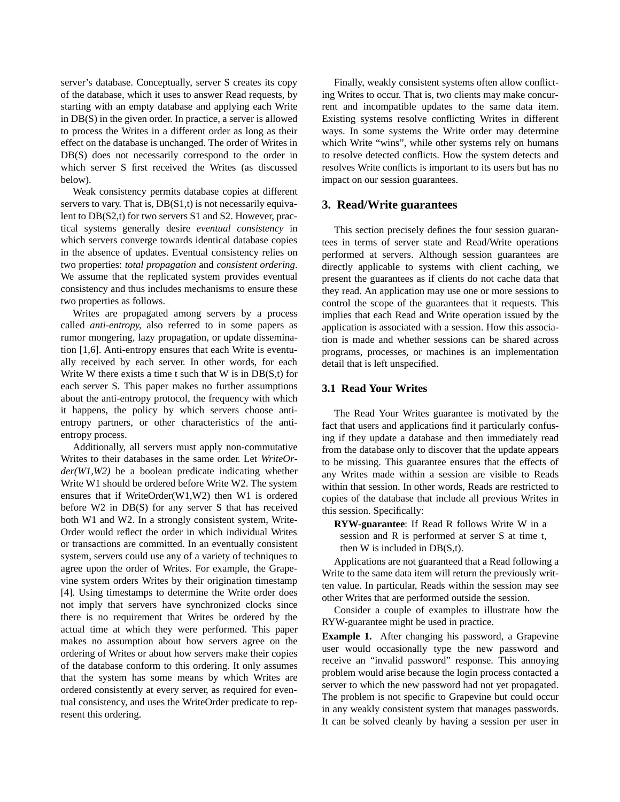server's database. Conceptually, server S creates its copy of the database, which it uses to answer Read requests, by starting with an empty database and applying each Write in DB(S) in the given order. In practice, a server is allowed to process the Writes in a different order as long as their effect on the database is unchanged. The order of Writes in DB(S) does not necessarily correspond to the order in which server S first received the Writes (as discussed below).

Weak consistency permits database copies at different servers to vary. That is, DB(S1,t) is not necessarily equivalent to DB(S2,t) for two servers S1 and S2. However, practical systems generally desire *eventual consistency* in which servers converge towards identical database copies in the absence of updates. Eventual consistency relies on two properties: *total propagation* and *consistent ordering*. We assume that the replicated system provides eventual consistency and thus includes mechanisms to ensure these two properties as follows.

Writes are propagated among servers by a process called *anti-entropy*, also referred to in some papers as rumor mongering, lazy propagation, or update dissemination [1,6]. Anti-entropy ensures that each Write is eventually received by each server. In other words, for each Write W there exists a time t such that  $W$  is in  $DB(S,t)$  for each server S. This paper makes no further assumptions about the anti-entropy protocol, the frequency with which it happens, the policy by which servers choose antientropy partners, or other characteristics of the antientropy process.

Additionally, all servers must apply non-commutative Writes to their databases in the same order. Let *WriteOr*der(W1,W2) be a boolean predicate indicating whether Write W1 should be ordered before Write W2. The system ensures that if WriteOrder(W1,W2) then W1 is ordered before W2 in DB(S) for any server S that has received both W1 and W2. In a strongly consistent system, Write-Order would reflect the order in which individual Writes or transactions are committed. In an eventually consistent system, servers could use any of a variety of techniques to agree upon the order of Writes. For example, the Grapevine system orders Writes by their origination timestamp [4]. Using timestamps to determine the Write order does not imply that servers have synchronized clocks since there is no requirement that Writes be ordered by the actual time at which they were performed. This paper makes no assumption about how servers agree on the ordering of Writes or about how servers make their copies of the database conform to this ordering. It only assumes that the system has some means by which Writes are ordered consistently at every server, as required for eventual consistency, and uses the WriteOrder predicate to represent this ordering.

Finally, weakly consistent systems often allow conflicting Writes to occur. That is, two clients may make concurrent and incompatible updates to the same data item. Existing systems resolve conflicting Writes in different ways. In some systems the Write order may determine which Write "wins", while other systems rely on humans to resolve detected conflicts. How the system detects and resolves Write conflicts is important to its users but has no impact on our session guarantees.

#### **3. Read/Write guarantees**

This section precisely defines the four session guarantees in terms of server state and Read/Write operations performed at servers. Although session guarantees are directly applicable to systems with client caching, we present the guarantees as if clients do not cache data that they read. An application may use one or more sessions to control the scope of the guarantees that it requests. This implies that each Read and Write operation issued by the application is associated with a session. How this association is made and whether sessions can be shared across programs, processes, or machines is an implementation detail that is left unspecified.

#### **3.1 Read Your Writes**

The Read Your Writes guarantee is motivated by the fact that users and applications find it particularly confusing if they update a database and then immediately read from the database only to discover that the update appears to be missing. This guarantee ensures that the effects of any Writes made within a session are visible to Reads within that session. In other words, Reads are restricted to copies of the database that include all previous Writes in this session. Specifically:

**RYW-guarantee**: If Read R follows Write W in a session and R is performed at server S at time t, then W is included in DB(S,t).

Applications are not guaranteed that a Read following a Write to the same data item will return the previously written value. In particular, Reads within the session may see other Writes that are performed outside the session.

Consider a couple of examples to illustrate how the RYW-guarantee might be used in practice.

**Example 1.** After changing his password, a Grapevine user would occasionally type the new password and receive an "invalid password" response. This annoying problem would arise because the login process contacted a server to which the new password had not yet propagated. The problem is not specific to Grapevine but could occur in any weakly consistent system that manages passwords. It can be solved cleanly by having a session per user in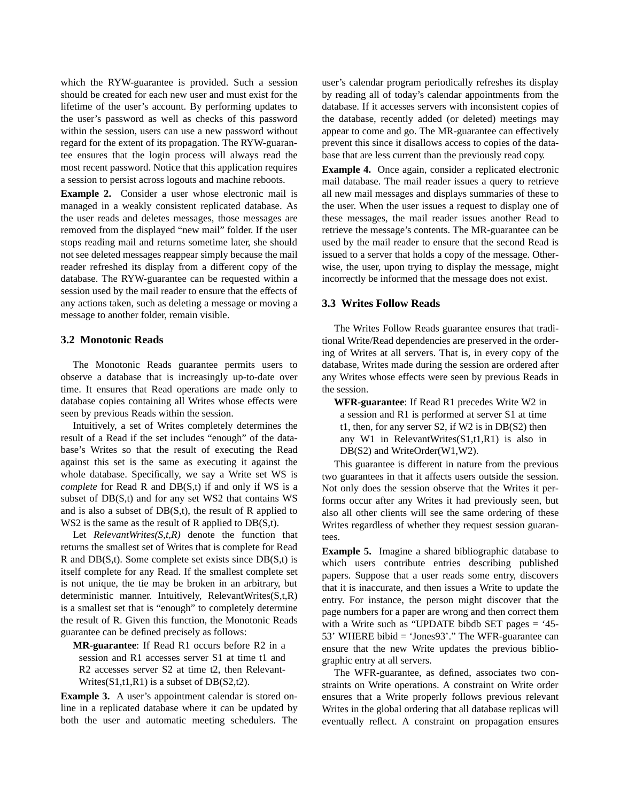which the RYW-guarantee is provided. Such a session should be created for each new user and must exist for the lifetime of the user's account. By performing updates to the user's password as well as checks of this password within the session, users can use a new password without regard for the extent of its propagation. The RYW-guarantee ensures that the login process will always read the most recent password. Notice that this application requires a session to persist across logouts and machine reboots.

**Example 2.** Consider a user whose electronic mail is managed in a weakly consistent replicated database. As the user reads and deletes messages, those messages are removed from the displayed "new mail" folder. If the user stops reading mail and returns sometime later, she should not see deleted messages reappear simply because the mail reader refreshed its display from a different copy of the database. The RYW-guarantee can be requested within a session used by the mail reader to ensure that the effects of any actions taken, such as deleting a message or moving a message to another folder, remain visible.

#### **3.2 Monotonic Reads**

The Monotonic Reads guarantee permits users to observe a database that is increasingly up-to-date over time. It ensures that Read operations are made only to database copies containing all Writes whose effects were seen by previous Reads within the session.

Intuitively, a set of Writes completely determines the result of a Read if the set includes "enough" of the database's Writes so that the result of executing the Read against this set is the same as executing it against the whole database. Specifically, we say a Write set WS is *complete* for Read R and DB(S,t) if and only if WS is a subset of DB(S,t) and for any set WS2 that contains WS and is also a subset of  $DB(S,t)$ , the result of R applied to WS2 is the same as the result of R applied to DB(S,t).

Let *RelevantWrites(S,t,R)* denote the function that returns the smallest set of Writes that is complete for Read R and  $DB(S,t)$ . Some complete set exists since  $DB(S,t)$  is itself complete for any Read. If the smallest complete set is not unique, the tie may be broken in an arbitrary, but deterministic manner. Intuitively, RelevantWrites(S,t,R) is a smallest set that is "enough" to completely determine the result of R. Given this function, the Monotonic Reads guarantee can be defined precisely as follows:

**MR-guarantee**: If Read R1 occurs before R2 in a session and R1 accesses server S1 at time t1 and R2 accesses server S2 at time t2, then Relevant-Writes( $S1,t1,R1$ ) is a subset of DB( $S2,t2$ ).

**Example 3.** A user's appointment calendar is stored online in a replicated database where it can be updated by both the user and automatic meeting schedulers. The user's calendar program periodically refreshes its display by reading all of today's calendar appointments from the database. If it accesses servers with inconsistent copies of the database, recently added (or deleted) meetings may appear to come and go. The MR-guarantee can effectively prevent this since it disallows access to copies of the database that are less current than the previously read copy.

**Example 4.** Once again, consider a replicated electronic mail database. The mail reader issues a query to retrieve all new mail messages and displays summaries of these to the user. When the user issues a request to display one of these messages, the mail reader issues another Read to retrieve the message's contents. The MR-guarantee can be used by the mail reader to ensure that the second Read is issued to a server that holds a copy of the message. Otherwise, the user, upon trying to display the message, might incorrectly be informed that the message does not exist.

### **3.3 Writes Follow Reads**

The Writes Follow Reads guarantee ensures that traditional Write/Read dependencies are preserved in the ordering of Writes at all servers. That is, in every copy of the database, Writes made during the session are ordered after any Writes whose effects were seen by previous Reads in the session.

**WFR-guarantee**: If Read R1 precedes Write W2 in a session and R1 is performed at server S1 at time t1, then, for any server S2, if W2 is in DB(S2) then any W1 in RelevantWrites(S1,t1,R1) is also in DB(S2) and WriteOrder(W1,W2).

This guarantee is different in nature from the previous two guarantees in that it affects users outside the session. Not only does the session observe that the Writes it performs occur after any Writes it had previously seen, but also all other clients will see the same ordering of these Writes regardless of whether they request session guarantees.

**Example 5.** Imagine a shared bibliographic database to which users contribute entries describing published papers. Suppose that a user reads some entry, discovers that it is inaccurate, and then issues a Write to update the entry. For instance, the person might discover that the page numbers for a paper are wrong and then correct them with a Write such as "UPDATE bibdb SET pages  $=$  '45-53' WHERE bibid = 'Jones93'." The WFR-guarantee can ensure that the new Write updates the previous bibliographic entry at all servers.

The WFR-guarantee, as defined, associates two constraints on Write operations. A constraint on Write order ensures that a Write properly follows previous relevant Writes in the global ordering that all database replicas will eventually reflect. A constraint on propagation ensures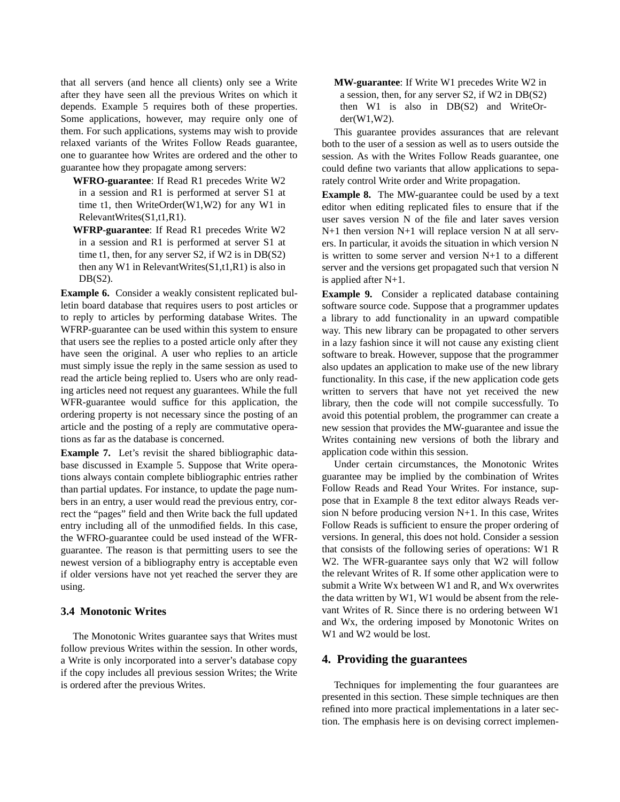that all servers (and hence all clients) only see a Write after they have seen all the previous Writes on which it depends. Example 5 requires both of these properties. Some applications, however, may require only one of them. For such applications, systems may wish to provide relaxed variants of the Writes Follow Reads guarantee, one to guarantee how Writes are ordered and the other to guarantee how they propagate among servers:

**WFRO-guarantee**: If Read R1 precedes Write W2 in a session and R1 is performed at server S1 at time t1, then WriteOrder(W1,W2) for any W1 in RelevantWrites(S1,t1,R1).

**WFRP-guarantee**: If Read R1 precedes Write W2 in a session and R1 is performed at server S1 at time t1, then, for any server S2, if W2 is in DB(S2) then any W1 in RelevantWrites $(S1,t1,R1)$  is also in  $DB(S2)$ .

**Example 6.** Consider a weakly consistent replicated bulletin board database that requires users to post articles or to reply to articles by performing database Writes. The WFRP-guarantee can be used within this system to ensure that users see the replies to a posted article only after they have seen the original. A user who replies to an article must simply issue the reply in the same session as used to read the article being replied to. Users who are only reading articles need not request any guarantees. While the full WFR-guarantee would suffice for this application, the ordering property is not necessary since the posting of an article and the posting of a reply are commutative operations as far as the database is concerned.

**Example 7.** Let's revisit the shared bibliographic database discussed in Example 5. Suppose that Write operations always contain complete bibliographic entries rather than partial updates. For instance, to update the page numbers in an entry, a user would read the previous entry, correct the "pages" field and then Write back the full updated entry including all of the unmodified fields. In this case, the WFRO-guarantee could be used instead of the WFRguarantee. The reason is that permitting users to see the newest version of a bibliography entry is acceptable even if older versions have not yet reached the server they are using.

#### **3.4 Monotonic Writes**

The Monotonic Writes guarantee says that Writes must follow previous Writes within the session. In other words, a Write is only incorporated into a server's database copy if the copy includes all previous session Writes; the Write is ordered after the previous Writes.

**MW-guarantee**: If Write W1 precedes Write W2 in a session, then, for any server S2, if W2 in DB(S2) then W1 is also in DB(S2) and WriteOrder(W1,W2).

This guarantee provides assurances that are relevant both to the user of a session as well as to users outside the session. As with the Writes Follow Reads guarantee, one could define two variants that allow applications to separately control Write order and Write propagation.

**Example 8.** The MW-guarantee could be used by a text editor when editing replicated files to ensure that if the user saves version N of the file and later saves version N+1 then version N+1 will replace version N at all servers. In particular, it avoids the situation in which version N is written to some server and version N+1 to a different server and the versions get propagated such that version N is applied after N+1.

**Example 9.** Consider a replicated database containing software source code. Suppose that a programmer updates a library to add functionality in an upward compatible way. This new library can be propagated to other servers in a lazy fashion since it will not cause any existing client software to break. However, suppose that the programmer also updates an application to make use of the new library functionality. In this case, if the new application code gets written to servers that have not yet received the new library, then the code will not compile successfully. To avoid this potential problem, the programmer can create a new session that provides the MW-guarantee and issue the Writes containing new versions of both the library and application code within this session.

Under certain circumstances, the Monotonic Writes guarantee may be implied by the combination of Writes Follow Reads and Read Your Writes. For instance, suppose that in Example 8 the text editor always Reads version N before producing version N+1. In this case, Writes Follow Reads is sufficient to ensure the proper ordering of versions. In general, this does not hold. Consider a session that consists of the following series of operations: W1 R W2. The WFR-guarantee says only that W2 will follow the relevant Writes of R. If some other application were to submit a Write Wx between W1 and R, and Wx overwrites the data written by W1, W1 would be absent from the relevant Writes of R. Since there is no ordering between W1 and Wx, the ordering imposed by Monotonic Writes on W1 and W2 would be lost.

#### **4. Providing the guarantees**

Techniques for implementing the four guarantees are presented in this section. These simple techniques are then refined into more practical implementations in a later section. The emphasis here is on devising correct implemen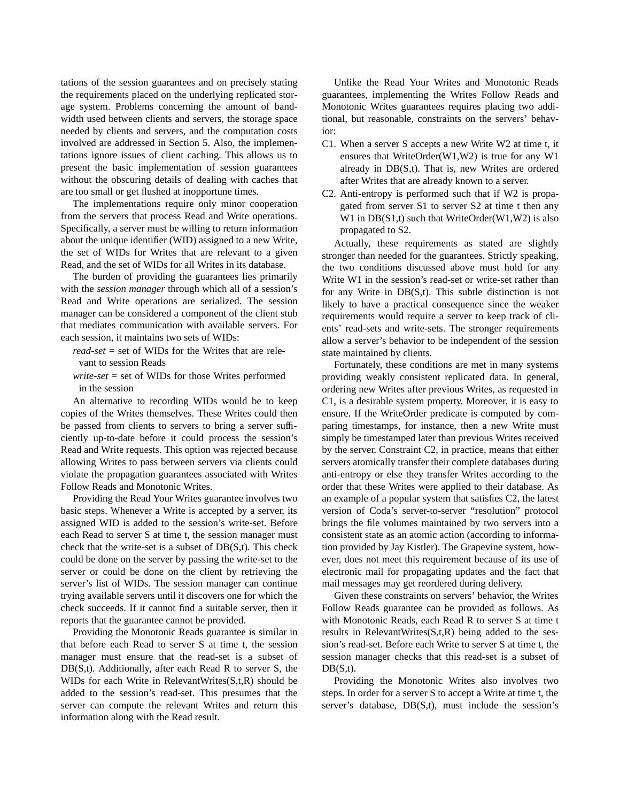tations of the session guarantees and on precisely stating the requirements placed on the underlying replicated storage system. Problems concerning the amount of bandwidth used between clients and servers, the storage space needed by clients and servers, and the computation costs involved are addressed in Section 5. Also, the implementations ignore issues of client caching. This allows us to present the basic implementation of session guarantees without the obscuring details of dealing with caches that are too small or get flushed at inopportune times.

The implementations require only minor cooperation from the servers that process Read and Write operations. Specifically, a server must be willing to return information about the unique identifier (WID) assigned to a new Write, the set of WIDs for Writes that are relevant to a given Read, and the set of WIDs for all Writes in its database.

The burden of providing the guarantees lies primarily with the *session manager* through which all of a session's Read and Write operations are serialized. The session manager can be considered a component of the client stub that mediates communication with available servers. For each session, it maintains two sets of WIDs:

- *read-set* = set of WIDs for the Writes that are relevant to session Reads
- *write-set* = set of WIDs for those Writes performed in the session

An alternative to recording WIDs would be to keep copies of the Writes themselves. These Writes could then be passed from clients to servers to bring a server sufficiently up-to-date before it could process the session's Read and Write requests. This option was rejected because allowing Writes to pass between servers via clients could violate the propagation guarantees associated with Writes Follow Reads and Monotonic Writes.

Providing the Read Your Writes guarantee involves two basic steps. Whenever a Write is accepted by a server, its assigned WID is added to the session's write-set. Before each Read to server S at time t, the session manager must check that the write-set is a subset of  $DB(S,t)$ . This check could be done on the server by passing the write-set to the server or could be done on the client by retrieving the server's list of WIDs. The session manager can continue trying available servers until it discovers one for which the check succeeds. If it cannot find a suitable server, then it reports that the guarantee cannot be provided.

Providing the Monotonic Reads guarantee is similar in that before each Read to server S at time t, the session manager must ensure that the read-set is a subset of DB(S,t). Additionally, after each Read R to server S, the WIDs for each Write in RelevantWrites(S,t,R) should be added to the session's read-set. This presumes that the server can compute the relevant Writes and return this information along with the Read result.

Unlike the Read Your Writes and Monotonic Reads guarantees, implementing the Writes Follow Reads and Monotonic Writes guarantees requires placing two additional, but reasonable, constraints on the servers' behavior:

- C1. When a server S accepts a new Write W2 at time t, it ensures that WriteOrder(W1,W2) is true for any W1 already in DB(S,t). That is, new Writes are ordered after Writes that are already known to a server.
- C2. Anti-entropy is performed such that if W2 is propagated from server S1 to server S2 at time t then any W1 in  $DB(S1,t)$  such that WriteOrder(W1,W2) is also propagated to S2.

Actually, these requirements as stated are slightly stronger than needed for the guarantees. Strictly speaking, the two conditions discussed above must hold for any Write W1 in the session's read-set or write-set rather than for any Write in DB(S,t). This subtle distinction is not likely to have a practical consequence since the weaker requirements would require a server to keep track of clients' read-sets and write-sets. The stronger requirements allow a server's behavior to be independent of the session state maintained by clients.

Fortunately, these conditions are met in many systems providing weakly consistent replicated data. In general, ordering new Writes after previous Writes, as requested in C1, is a desirable system property. Moreover, it is easy to ensure. If the WriteOrder predicate is computed by comparing timestamps, for instance, then a new Write must simply be timestamped later than previous Writes received by the server. Constraint C2, in practice, means that either servers atomically transfer their complete databases during anti-entropy or else they transfer Writes according to the order that these Writes were applied to their database. As an example of a popular system that satisfies C2, the latest version of Coda's server-to-server "resolution" protocol brings the file volumes maintained by two servers into a consistent state as an atomic action (according to information provided by Jay Kistler). The Grapevine system, however, does not meet this requirement because of its use of electronic mail for propagating updates and the fact that mail messages may get reordered during delivery.

Given these constraints on servers' behavior, the Writes Follow Reads guarantee can be provided as follows. As with Monotonic Reads, each Read R to server S at time t results in RelevantWrites(S,t,R) being added to the session's read-set. Before each Write to server S at time t, the session manager checks that this read-set is a subset of  $DB(S,t)$ .

Providing the Monotonic Writes also involves two steps. In order for a server S to accept a Write at time t, the server's database, DB(S,t), must include the session's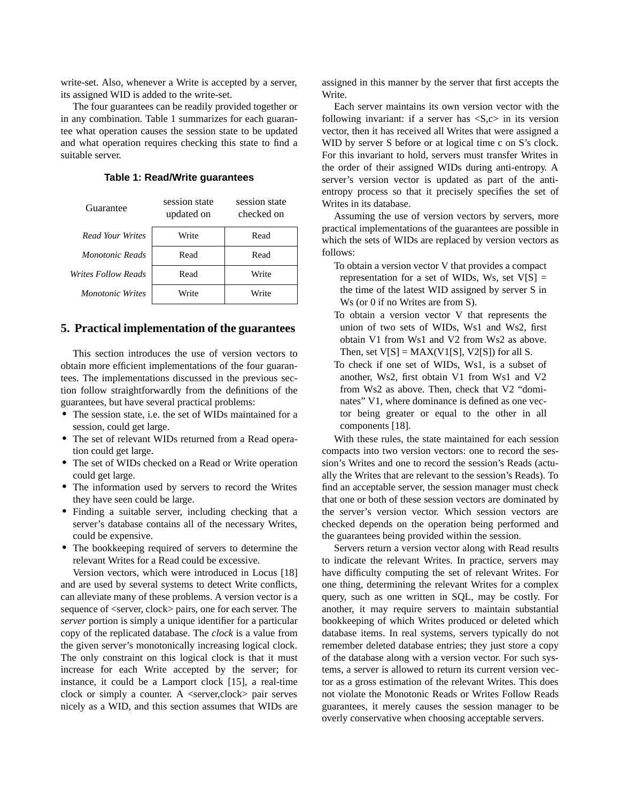write-set. Also, whenever a Write is accepted by a server, its assigned WID is added to the write-set.

The four guarantees can be readily provided together or in any combination. Table 1 summarizes for each guarantee what operation causes the session state to be updated and what operation requires checking this state to find a suitable server.

| Guarantee                  | session state<br>updated on | session state<br>checked on |
|----------------------------|-----------------------------|-----------------------------|
| <b>Read Your Writes</b>    | Write                       | Read                        |
| Monotonic Reads            | Read                        | Read                        |
| <b>Writes Follow Reads</b> | Read                        | Write                       |
| <b>Monotonic Writes</b>    | Write                       | Write                       |

**Table 1: Read/Write guarantees**

#### **5. Practical implementation of the guarantees**

This section introduces the use of version vectors to obtain more efficient implementations of the four guarantees. The implementations discussed in the previous section follow straightforwardly from the definitions of the guarantees, but have several practical problems:

- **•** The session state, i.e. the set of WIDs maintained for a session, could get large.
- **•** The set of relevant WIDs returned from a Read operation could get large.
- **•** The set of WIDs checked on a Read or Write operation could get large.
- **•** The information used by servers to record the Writes they have seen could be large.
- **•** Finding a suitable server, including checking that a server's database contains all of the necessary Writes, could be expensive.
- The bookkeeping required of servers to determine the relevant Writes for a Read could be excessive.

Version vectors, which were introduced in Locus [18] and are used by several systems to detect Write conflicts, can alleviate many of these problems. A version vector is a sequence of <server, clock> pairs, one for each server. The *server* portion is simply a unique identifier for a particular copy of the replicated database. The *clock* is a value from the given server's monotonically increasing logical clock. The only constraint on this logical clock is that it must increase for each Write accepted by the server; for instance, it could be a Lamport clock [15], a real-time clock or simply a counter. A <server,clock> pair serves nicely as a WID, and this section assumes that WIDs are assigned in this manner by the server that first accepts the Write.

Each server maintains its own version vector with the following invariant: if a server has  $\langle S, c \rangle$  in its version vector, then it has received all Writes that were assigned a WID by server S before or at logical time c on S's clock. For this invariant to hold, servers must transfer Writes in the order of their assigned WIDs during anti-entropy. A server's version vector is updated as part of the antientropy process so that it precisely specifies the set of Writes in its database.

Assuming the use of version vectors by servers, more practical implementations of the guarantees are possible in which the sets of WIDs are replaced by version vectors as follows:

- To obtain a version vector V that provides a compact representation for a set of WIDs, Ws, set  $V[S] =$ the time of the latest WID assigned by server S in W<sub>s</sub> (or 0 if no Writes are from S).
- To obtain a version vector V that represents the union of two sets of WIDs, Ws1 and Ws2, first obtain V1 from Ws1 and V2 from Ws2 as above. Then, set  $V[S] = MAX(V1[S], V2[S])$  for all S.
- To check if one set of WIDs, Ws1, is a subset of another, Ws2, first obtain V1 from Ws1 and V2 from Ws2 as above. Then, check that V2 "dominates" V1, where dominance is defined as one vector being greater or equal to the other in all components [18].

With these rules, the state maintained for each session compacts into two version vectors: one to record the session's Writes and one to record the session's Reads (actually the Writes that are relevant to the session's Reads). To find an acceptable server, the session manager must check that one or both of these session vectors are dominated by the server's version vector. Which session vectors are checked depends on the operation being performed and the guarantees being provided within the session.

Servers return a version vector along with Read results to indicate the relevant Writes. In practice, servers may have difficulty computing the set of relevant Writes. For one thing, determining the relevant Writes for a complex query, such as one written in SQL, may be costly. For another, it may require servers to maintain substantial bookkeeping of which Writes produced or deleted which database items. In real systems, servers typically do not remember deleted database entries; they just store a copy of the database along with a version vector. For such systems, a server is allowed to return its current version vector as a gross estimation of the relevant Writes. This does not violate the Monotonic Reads or Writes Follow Reads guarantees, it merely causes the session manager to be overly conservative when choosing acceptable servers.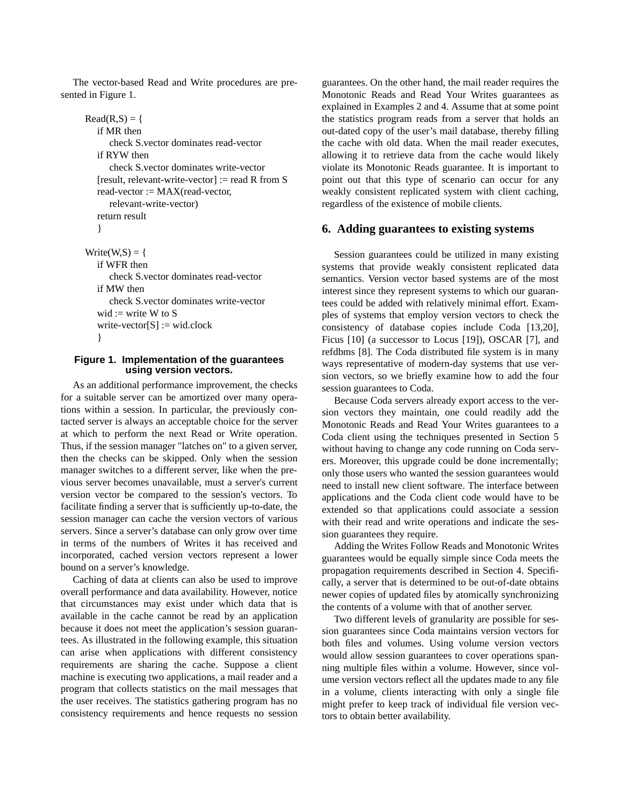The vector-based Read and Write procedures are presented in Figure 1.

```
Read(R,S) = \{if MR then
      check S.vector dominates read-vector
  if RYW then
      check S.vector dominates write-vector
   [result, relevant-write-vector] := read R from S
  read-vector := MAX(read-vector,
     relevant-write-vector)
   return result
   }
Write(W, S) = \{if WFR then
     check S.vector dominates read-vector
   if MW then
     check S.vector dominates write-vector
   wid := write W to S
   write-vector[S] := \text{wid.close}}
```
#### **Figure 1. Implementation of the guarantees using version vectors.**

As an additional performance improvement, the checks for a suitable server can be amortized over many operations within a session. In particular, the previously contacted server is always an acceptable choice for the server at which to perform the next Read or Write operation. Thus, if the session manager "latches on" to a given server, then the checks can be skipped. Only when the session manager switches to a different server, like when the previous server becomes unavailable, must a server's current version vector be compared to the session's vectors. To facilitate finding a server that is sufficiently up-to-date, the session manager can cache the version vectors of various servers. Since a server's database can only grow over time in terms of the numbers of Writes it has received and incorporated, cached version vectors represent a lower bound on a server's knowledge.

Caching of data at clients can also be used to improve overall performance and data availability. However, notice that circumstances may exist under which data that is available in the cache cannot be read by an application because it does not meet the application's session guarantees. As illustrated in the following example, this situation can arise when applications with different consistency requirements are sharing the cache. Suppose a client machine is executing two applications, a mail reader and a program that collects statistics on the mail messages that the user receives. The statistics gathering program has no consistency requirements and hence requests no session

guarantees. On the other hand, the mail reader requires the Monotonic Reads and Read Your Writes guarantees as explained in Examples 2 and 4. Assume that at some point the statistics program reads from a server that holds an out-dated copy of the user's mail database, thereby filling the cache with old data. When the mail reader executes, allowing it to retrieve data from the cache would likely violate its Monotonic Reads guarantee. It is important to point out that this type of scenario can occur for any weakly consistent replicated system with client caching, regardless of the existence of mobile clients.

### **6. Adding guarantees to existing systems**

Session guarantees could be utilized in many existing systems that provide weakly consistent replicated data semantics. Version vector based systems are of the most interest since they represent systems to which our guarantees could be added with relatively minimal effort. Examples of systems that employ version vectors to check the consistency of database copies include Coda [13,20], Ficus [10] (a successor to Locus [19]), OSCAR [7], and refdbms [8]. The Coda distributed file system is in many ways representative of modern-day systems that use version vectors, so we briefly examine how to add the four session guarantees to Coda.

Because Coda servers already export access to the version vectors they maintain, one could readily add the Monotonic Reads and Read Your Writes guarantees to a Coda client using the techniques presented in Section 5 without having to change any code running on Coda servers. Moreover, this upgrade could be done incrementally; only those users who wanted the session guarantees would need to install new client software. The interface between applications and the Coda client code would have to be extended so that applications could associate a session with their read and write operations and indicate the session guarantees they require.

Adding the Writes Follow Reads and Monotonic Writes guarantees would be equally simple since Coda meets the propagation requirements described in Section 4. Specifically, a server that is determined to be out-of-date obtains newer copies of updated files by atomically synchronizing the contents of a volume with that of another server.

Two different levels of granularity are possible for session guarantees since Coda maintains version vectors for both files and volumes. Using volume version vectors would allow session guarantees to cover operations spanning multiple files within a volume. However, since volume version vectors reflect all the updates made to any file in a volume, clients interacting with only a single file might prefer to keep track of individual file version vectors to obtain better availability.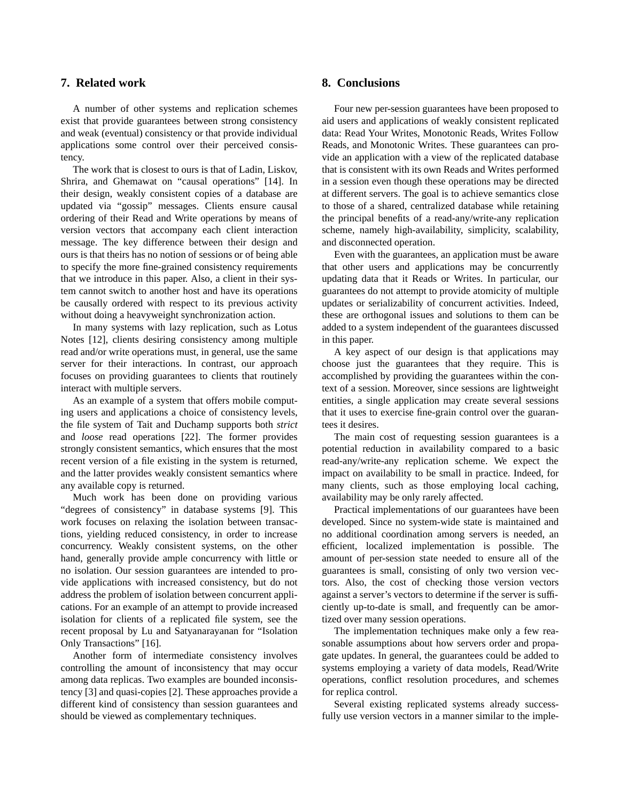### **7. Related work**

A number of other systems and replication schemes exist that provide guarantees between strong consistency and weak (eventual) consistency or that provide individual applications some control over their perceived consistency.

The work that is closest to ours is that of Ladin, Liskov, Shrira, and Ghemawat on "causal operations" [14]. In their design, weakly consistent copies of a database are updated via "gossip" messages. Clients ensure causal ordering of their Read and Write operations by means of version vectors that accompany each client interaction message. The key difference between their design and ours is that theirs has no notion of sessions or of being able to specify the more fine-grained consistency requirements that we introduce in this paper. Also, a client in their system cannot switch to another host and have its operations be causally ordered with respect to its previous activity without doing a heavyweight synchronization action.

In many systems with lazy replication, such as Lotus Notes [12], clients desiring consistency among multiple read and/or write operations must, in general, use the same server for their interactions. In contrast, our approach focuses on providing guarantees to clients that routinely interact with multiple servers.

As an example of a system that offers mobile computing users and applications a choice of consistency levels, the file system of Tait and Duchamp supports both *strict* and *loose* read operations [22]. The former provides strongly consistent semantics, which ensures that the most recent version of a file existing in the system is returned, and the latter provides weakly consistent semantics where any available copy is returned.

Much work has been done on providing various "degrees of consistency" in database systems [9]. This work focuses on relaxing the isolation between transactions, yielding reduced consistency, in order to increase concurrency. Weakly consistent systems, on the other hand, generally provide ample concurrency with little or no isolation. Our session guarantees are intended to provide applications with increased consistency, but do not address the problem of isolation between concurrent applications. For an example of an attempt to provide increased isolation for clients of a replicated file system, see the recent proposal by Lu and Satyanarayanan for "Isolation Only Transactions" [16].

Another form of intermediate consistency involves controlling the amount of inconsistency that may occur among data replicas. Two examples are bounded inconsistency [3] and quasi-copies [2]. These approaches provide a different kind of consistency than session guarantees and should be viewed as complementary techniques.

## **8. Conclusions**

Four new per-session guarantees have been proposed to aid users and applications of weakly consistent replicated data: Read Your Writes, Monotonic Reads, Writes Follow Reads, and Monotonic Writes. These guarantees can provide an application with a view of the replicated database that is consistent with its own Reads and Writes performed in a session even though these operations may be directed at different servers. The goal is to achieve semantics close to those of a shared, centralized database while retaining the principal benefits of a read-any/write-any replication scheme, namely high-availability, simplicity, scalability, and disconnected operation.

Even with the guarantees, an application must be aware that other users and applications may be concurrently updating data that it Reads or Writes. In particular, our guarantees do not attempt to provide atomicity of multiple updates or serializability of concurrent activities. Indeed, these are orthogonal issues and solutions to them can be added to a system independent of the guarantees discussed in this paper.

A key aspect of our design is that applications may choose just the guarantees that they require. This is accomplished by providing the guarantees within the context of a session. Moreover, since sessions are lightweight entities, a single application may create several sessions that it uses to exercise fine-grain control over the guarantees it desires.

The main cost of requesting session guarantees is a potential reduction in availability compared to a basic read-any/write-any replication scheme. We expect the impact on availability to be small in practice. Indeed, for many clients, such as those employing local caching, availability may be only rarely affected.

Practical implementations of our guarantees have been developed. Since no system-wide state is maintained and no additional coordination among servers is needed, an efficient, localized implementation is possible. The amount of per-session state needed to ensure all of the guarantees is small, consisting of only two version vectors. Also, the cost of checking those version vectors against a server's vectors to determine if the server is sufficiently up-to-date is small, and frequently can be amortized over many session operations.

The implementation techniques make only a few reasonable assumptions about how servers order and propagate updates. In general, the guarantees could be added to systems employing a variety of data models, Read/Write operations, conflict resolution procedures, and schemes for replica control.

Several existing replicated systems already successfully use version vectors in a manner similar to the imple